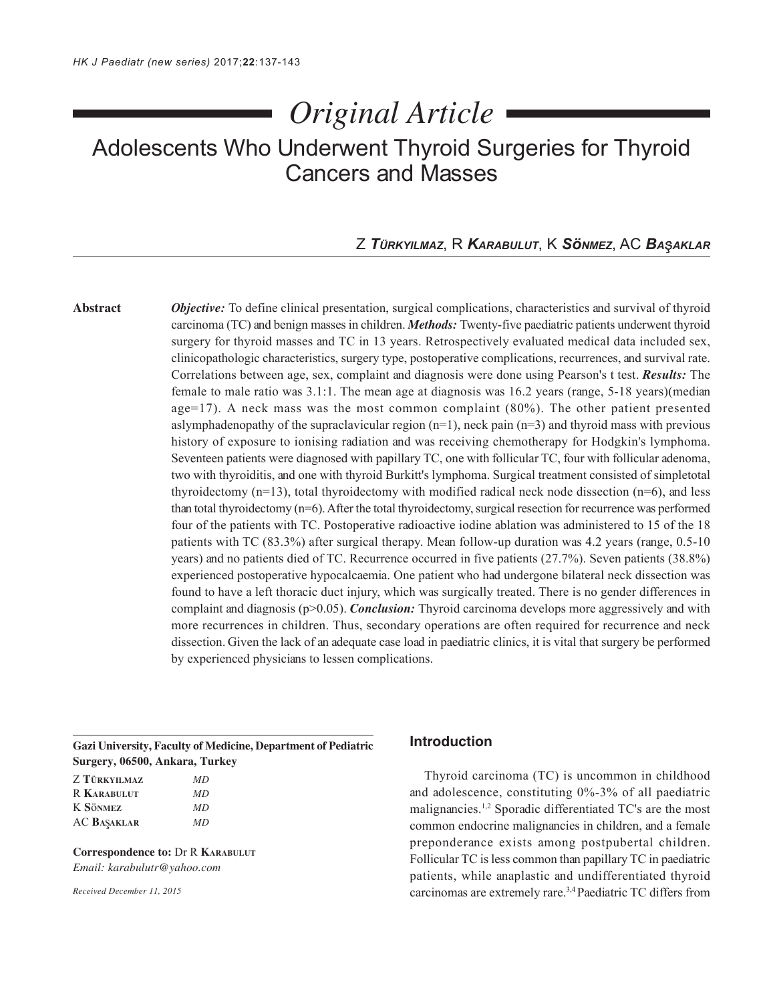# *Original Article*

## Adolescents Who Underwent Thyroid Surgeries for Thyroid Cancers and Masses

### Z *TÜRKYILMAZ*, R *KARABULUT*, K *SöNMEZ*, AC *BA AKLAR*

**Abstract** *Objective:* To define clinical presentation, surgical complications, characteristics and survival of thyroid carcinoma (TC) and benign masses in children. *Methods:* Twenty-five paediatric patients underwent thyroid surgery for thyroid masses and TC in 13 years. Retrospectively evaluated medical data included sex, clinicopathologic characteristics, surgery type, postoperative complications, recurrences, and survival rate. Correlations between age, sex, complaint and diagnosis were done using Pearson's t test. *Results:* The female to male ratio was 3.1:1. The mean age at diagnosis was 16.2 years (range, 5-18 years)(median age=17). A neck mass was the most common complaint  $(80\%)$ . The other patient presented aslymphadenopathy of the supraclavicular region  $(n=1)$ , neck pain  $(n=3)$  and thyroid mass with previous history of exposure to ionising radiation and was receiving chemotherapy for Hodgkin's lymphoma. Seventeen patients were diagnosed with papillary TC, one with follicular TC, four with follicular adenoma, two with thyroiditis, and one with thyroid Burkitt's lymphoma. Surgical treatment consisted of simpletotal thyroidectomy  $(n=13)$ , total thyroidectomy with modified radical neck node dissection  $(n=6)$ , and less than total thyroidectomy (n=6). After the total thyroidectomy, surgical resection for recurrence was performed four of the patients with TC. Postoperative radioactive iodine ablation was administered to 15 of the 18 patients with TC (83.3%) after surgical therapy. Mean follow-up duration was 4.2 years (range, 0.5-10 years) and no patients died of TC. Recurrence occurred in five patients (27.7%). Seven patients (38.8%) experienced postoperative hypocalcaemia. One patient who had undergone bilateral neck dissection was found to have a left thoracic duct injury, which was surgically treated. There is no gender differences in complaint and diagnosis (p>0.05). *Conclusion:* Thyroid carcinoma develops more aggressively and with more recurrences in children. Thus, secondary operations are often required for recurrence and neck dissection. Given the lack of an adequate case load in paediatric clinics, it is vital that surgery be performed by experienced physicians to lessen complications.

**Gazi University, Faculty of Medicine, Department of Pediatric Surgery, 06500, Ankara, Turkey**

| Z TÜRKYILMAZ       | MD  |
|--------------------|-----|
| <b>R KARABULUT</b> | MD  |
| K SÖNMEZ           | MD. |
| <b>AC BAŞAKLAR</b> | MD. |

**Correspondence to:** Dr R **KARABULUT** *Email: karabulutr@yahoo.com*

*Received December 11, 2015*

#### **Introduction**

Thyroid carcinoma (TC) is uncommon in childhood and adolescence, constituting 0%-3% of all paediatric malignancies.1,2 Sporadic differentiated TC's are the most common endocrine malignancies in children, and a female preponderance exists among postpubertal children. Follicular TC is less common than papillary TC in paediatric patients, while anaplastic and undifferentiated thyroid carcinomas are extremely rare.3,4 Paediatric TC differs from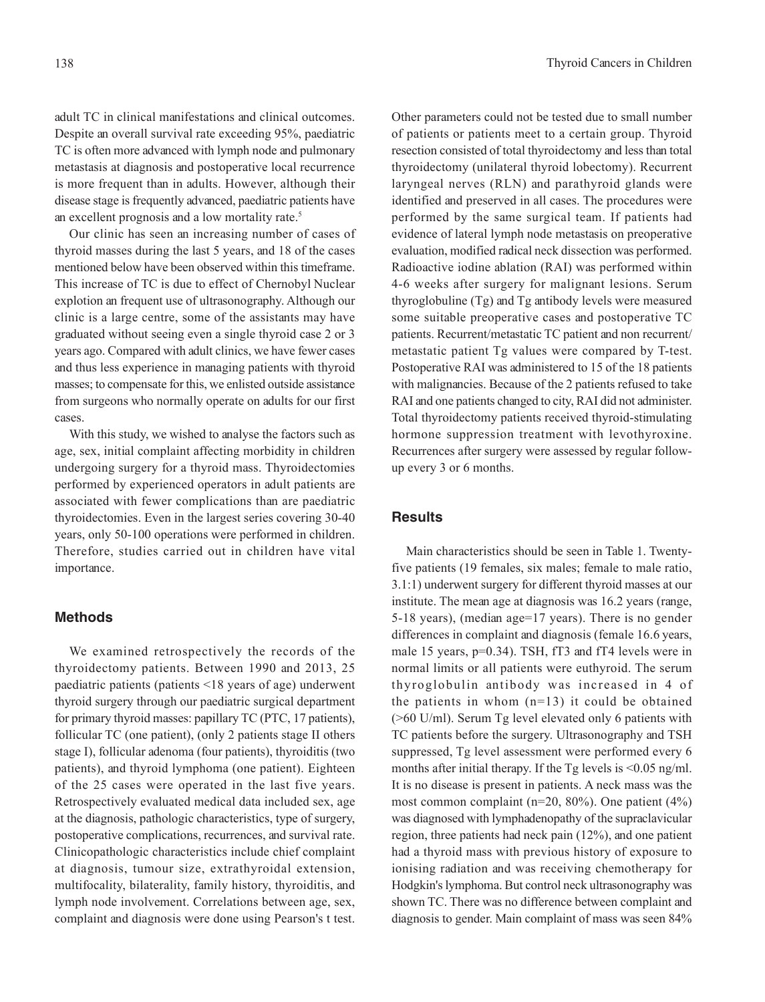adult TC in clinical manifestations and clinical outcomes. Despite an overall survival rate exceeding 95%, paediatric TC is often more advanced with lymph node and pulmonary metastasis at diagnosis and postoperative local recurrence is more frequent than in adults. However, although their disease stage is frequently advanced, paediatric patients have an excellent prognosis and a low mortality rate.<sup>5</sup>

Our clinic has seen an increasing number of cases of thyroid masses during the last 5 years, and 18 of the cases mentioned below have been observed within this timeframe. This increase of TC is due to effect of Chernobyl Nuclear explotion an frequent use of ultrasonography. Although our clinic is a large centre, some of the assistants may have graduated without seeing even a single thyroid case 2 or 3 years ago. Compared with adult clinics, we have fewer cases and thus less experience in managing patients with thyroid masses; to compensate for this, we enlisted outside assistance from surgeons who normally operate on adults for our first cases.

With this study, we wished to analyse the factors such as age, sex, initial complaint affecting morbidity in children undergoing surgery for a thyroid mass. Thyroidectomies performed by experienced operators in adult patients are associated with fewer complications than are paediatric thyroidectomies. Even in the largest series covering 30-40 years, only 50-100 operations were performed in children. Therefore, studies carried out in children have vital importance.

#### **Methods**

We examined retrospectively the records of the thyroidectomy patients. Between 1990 and 2013, 25 paediatric patients (patients <18 years of age) underwent thyroid surgery through our paediatric surgical department for primary thyroid masses: papillary TC (PTC, 17 patients), follicular TC (one patient), (only 2 patients stage II others stage I), follicular adenoma (four patients), thyroiditis (two patients), and thyroid lymphoma (one patient). Eighteen of the 25 cases were operated in the last five years. Retrospectively evaluated medical data included sex, age at the diagnosis, pathologic characteristics, type of surgery, postoperative complications, recurrences, and survival rate. Clinicopathologic characteristics include chief complaint at diagnosis, tumour size, extrathyroidal extension, multifocality, bilaterality, family history, thyroiditis, and lymph node involvement. Correlations between age, sex, complaint and diagnosis were done using Pearson's t test.

Other parameters could not be tested due to small number of patients or patients meet to a certain group. Thyroid resection consisted of total thyroidectomy and less than total thyroidectomy (unilateral thyroid lobectomy). Recurrent laryngeal nerves (RLN) and parathyroid glands were identified and preserved in all cases. The procedures were performed by the same surgical team. If patients had evidence of lateral lymph node metastasis on preoperative evaluation, modified radical neck dissection was performed. Radioactive iodine ablation (RAI) was performed within 4-6 weeks after surgery for malignant lesions. Serum thyroglobuline (Tg) and Tg antibody levels were measured some suitable preoperative cases and postoperative TC patients. Recurrent/metastatic TC patient and non recurrent/ metastatic patient Tg values were compared by T-test. Postoperative RAI was administered to 15 of the 18 patients with malignancies. Because of the 2 patients refused to take RAI and one patients changed to city, RAI did not administer. Total thyroidectomy patients received thyroid-stimulating hormone suppression treatment with levothyroxine. Recurrences after surgery were assessed by regular followup every 3 or 6 months.

#### **Results**

Main characteristics should be seen in Table 1. Twentyfive patients (19 females, six males; female to male ratio, 3.1:1) underwent surgery for different thyroid masses at our institute. The mean age at diagnosis was 16.2 years (range, 5-18 years), (median age=17 years). There is no gender differences in complaint and diagnosis (female 16.6 years, male 15 years, p=0.34). TSH, fT3 and fT4 levels were in normal limits or all patients were euthyroid. The serum thyroglobulin antibody was increased in 4 of the patients in whom  $(n=13)$  it could be obtained (>60 U/ml). Serum Tg level elevated only 6 patients with TC patients before the surgery. Ultrasonography and TSH suppressed, Tg level assessment were performed every 6 months after initial therapy. If the Tg levels is  $\leq 0.05$  ng/ml. It is no disease is present in patients. A neck mass was the most common complaint (n=20, 80%). One patient (4%) was diagnosed with lymphadenopathy of the supraclavicular region, three patients had neck pain (12%), and one patient had a thyroid mass with previous history of exposure to ionising radiation and was receiving chemotherapy for Hodgkin's lymphoma. But control neck ultrasonography was shown TC. There was no difference between complaint and diagnosis to gender. Main complaint of mass was seen 84%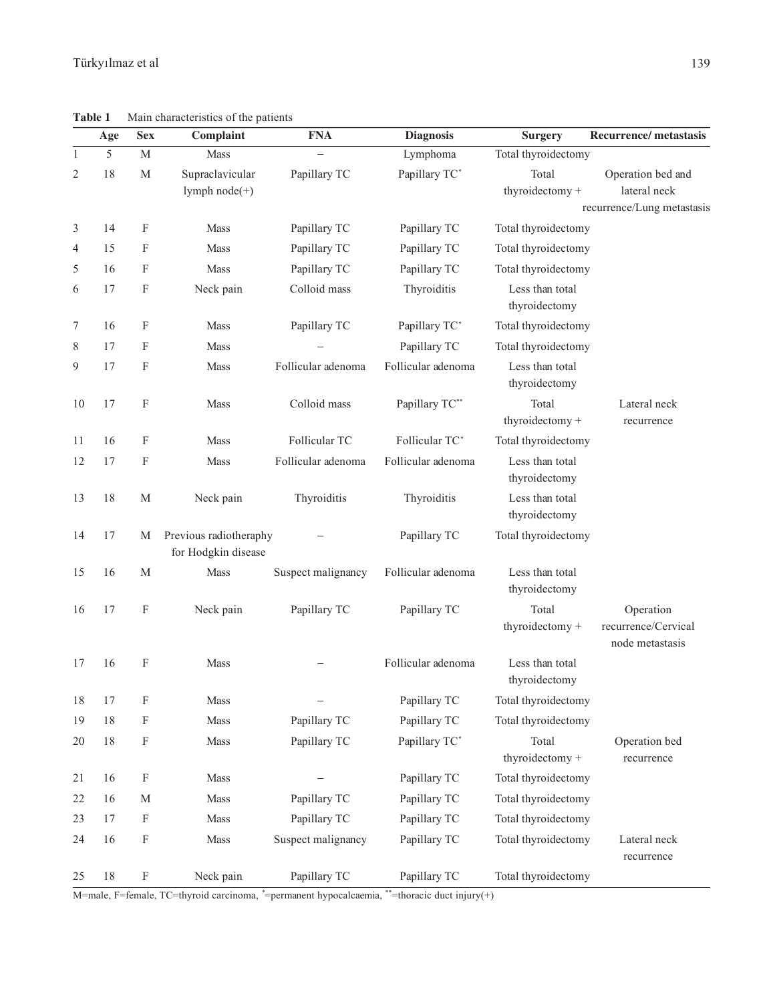**Table 1** Main characteristics of the patients

|                | Age | <b>Sex</b>                | Complaint                                     | <b>FNA</b>         | <b>Diagnosis</b>   | <b>Surgery</b>                   | <b>Recurrence/metastasis</b>                        |
|----------------|-----|---------------------------|-----------------------------------------------|--------------------|--------------------|----------------------------------|-----------------------------------------------------|
| 1              | 5   | M                         | Mass                                          |                    | Lymphoma           | Total thyroidectomy              |                                                     |
| $\overline{2}$ | 18  | M                         | Supraclavicular<br>lymph node(+)              | Papillary TC       | Papillary TC*      | Total<br>thyroidectomy +         | Operation bed and<br>lateral neck                   |
|                |     |                           |                                               |                    |                    |                                  | recurrence/Lung metastasis                          |
| 3              | 14  | F                         | Mass                                          | Papillary TC       | Papillary TC       | Total thyroidectomy              |                                                     |
| $\overline{4}$ | 15  | F                         | Mass                                          | Papillary TC       | Papillary TC       | Total thyroidectomy              |                                                     |
| 5              | 16  | F                         | Mass                                          | Papillary TC       | Papillary TC       | Total thyroidectomy              |                                                     |
| 6              | 17  | F                         | Neck pain                                     | Colloid mass       | Thyroiditis        | Less than total<br>thyroidectomy |                                                     |
| 7              | 16  | F                         | <b>Mass</b>                                   | Papillary TC       | Papillary TC*      | Total thyroidectomy              |                                                     |
| 8              | 17  | F                         | Mass                                          |                    | Papillary TC       | Total thyroidectomy              |                                                     |
| 9              | 17  | F                         | Mass                                          | Follicular adenoma | Follicular adenoma | Less than total<br>thyroidectomy |                                                     |
| 10             | 17  | F                         | <b>Mass</b>                                   | Colloid mass       | Papillary TC**     | Total<br>thyroidectomy +         | Lateral neck<br>recurrence                          |
| 11             | 16  | F                         | Mass                                          | Follicular TC      | Follicular TC*     | Total thyroidectomy              |                                                     |
| 12             | 17  | F                         | Mass                                          | Follicular adenoma | Follicular adenoma | Less than total<br>thyroidectomy |                                                     |
| 13             | 18  | M                         | Neck pain                                     | Thyroiditis        | Thyroiditis        | Less than total<br>thyroidectomy |                                                     |
| 14             | 17  | М                         | Previous radiotheraphy<br>for Hodgkin disease |                    | Papillary TC       | Total thyroidectomy              |                                                     |
| 15             | 16  | M                         | Mass                                          | Suspect malignancy | Follicular adenoma | Less than total<br>thyroidectomy |                                                     |
| 16             | 17  | F                         | Neck pain                                     | Papillary TC       | Papillary TC       | Total<br>thyroidectomy +         | Operation<br>recurrence/Cervical<br>node metastasis |
| 17             | 16  | F                         | <b>Mass</b>                                   |                    | Follicular adenoma | Less than total<br>thyroidectomy |                                                     |
| 18             | 17  | F                         | Mass                                          |                    | Papillary TC       | Total thyroidectomy              |                                                     |
| 19             | 18  | F                         | Mass                                          | Papillary TC       | Papillary TC       | Total thyroidectomy              |                                                     |
| 20             | 18  | $\boldsymbol{\mathrm{F}}$ | Mass                                          | Papillary TC       | Papillary TC*      | Total<br>thyroidectomy +         | Operation bed<br>recurrence                         |
| 21             | 16  | F                         | Mass                                          |                    | Papillary TC       | Total thyroidectomy              |                                                     |
| 22             | 16  | M                         | Mass                                          | Papillary TC       | Papillary TC       | Total thyroidectomy              |                                                     |
| 23             | 17  | F                         | Mass                                          | Papillary TC       | Papillary TC       | Total thyroidectomy              |                                                     |
| 24             | 16  | F                         | Mass                                          | Suspect malignancy | Papillary TC       | Total thyroidectomy              | Lateral neck<br>recurrence                          |
| 25             | 18  | F                         | Neck pain                                     | Papillary TC       | Papillary TC       | Total thyroidectomy              |                                                     |

M=male, F=female, TC=thyroid carcinoma, *\** =permanent hypocalcaemia, \*\*=thoracic duct injury(+)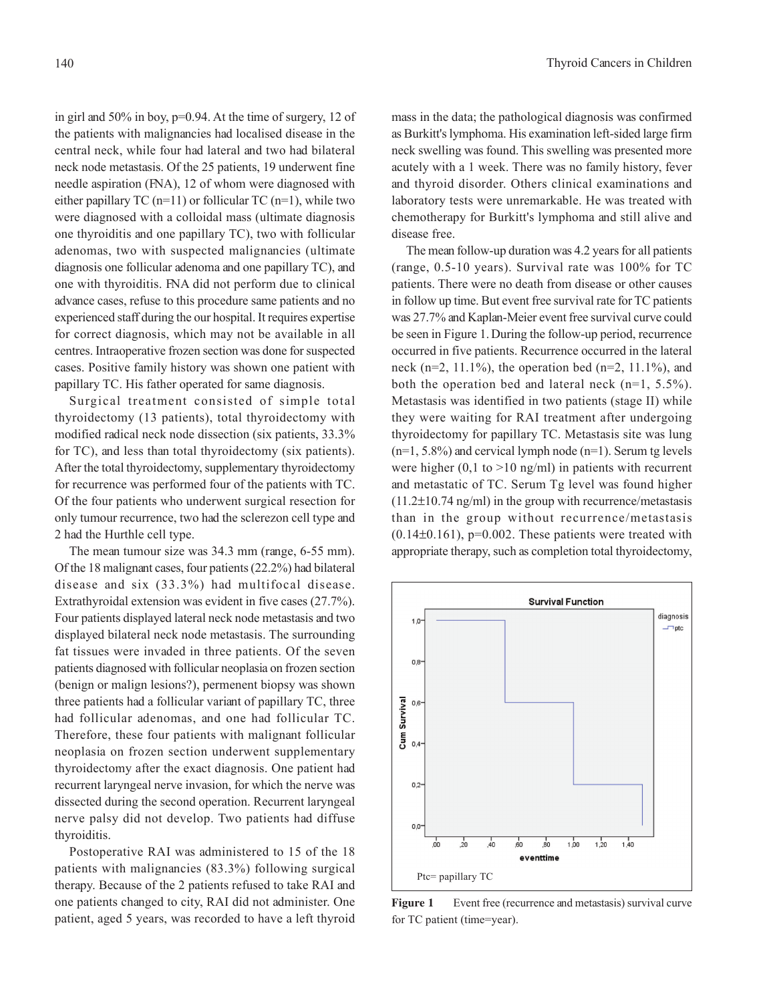in girl and 50% in boy, p=0.94. At the time of surgery, 12 of the patients with malignancies had localised disease in the central neck, while four had lateral and two had bilateral neck node metastasis. Of the 25 patients, 19 underwent fine needle aspiration (FNA), 12 of whom were diagnosed with either papillary TC (n=11) or follicular TC (n=1), while two were diagnosed with a colloidal mass (ultimate diagnosis one thyroiditis and one papillary TC), two with follicular adenomas, two with suspected malignancies (ultimate diagnosis one follicular adenoma and one papillary TC), and one with thyroiditis. FNA did not perform due to clinical advance cases, refuse to this procedure same patients and no experienced staff during the our hospital. It requires expertise for correct diagnosis, which may not be available in all centres. Intraoperative frozen section was done for suspected cases. Positive family history was shown one patient with papillary TC. His father operated for same diagnosis.

Surgical treatment consisted of simple total thyroidectomy (13 patients), total thyroidectomy with modified radical neck node dissection (six patients, 33.3% for TC), and less than total thyroidectomy (six patients). After the total thyroidectomy, supplementary thyroidectomy for recurrence was performed four of the patients with TC. Of the four patients who underwent surgical resection for only tumour recurrence, two had the sclerezon cell type and 2 had the Hurthle cell type.

The mean tumour size was 34.3 mm (range, 6-55 mm). Of the 18 malignant cases, four patients (22.2%) had bilateral disease and six (33.3%) had multifocal disease. Extrathyroidal extension was evident in five cases (27.7%). Four patients displayed lateral neck node metastasis and two displayed bilateral neck node metastasis. The surrounding fat tissues were invaded in three patients. Of the seven patients diagnosed with follicular neoplasia on frozen section (benign or malign lesions?), permenent biopsy was shown three patients had a follicular variant of papillary TC, three had follicular adenomas, and one had follicular TC. Therefore, these four patients with malignant follicular neoplasia on frozen section underwent supplementary thyroidectomy after the exact diagnosis. One patient had recurrent laryngeal nerve invasion, for which the nerve was dissected during the second operation. Recurrent laryngeal nerve palsy did not develop. Two patients had diffuse thyroiditis.

Postoperative RAI was administered to 15 of the 18 patients with malignancies (83.3%) following surgical therapy. Because of the 2 patients refused to take RAI and one patients changed to city, RAI did not administer. One patient, aged 5 years, was recorded to have a left thyroid

mass in the data; the pathological diagnosis was confirmed as Burkitt's lymphoma. His examination left-sided large firm neck swelling was found. This swelling was presented more acutely with a 1 week. There was no family history, fever and thyroid disorder. Others clinical examinations and laboratory tests were unremarkable. He was treated with chemotherapy for Burkitt's lymphoma and still alive and disease free.

The mean follow-up duration was 4.2 years for all patients (range, 0.5-10 years). Survival rate was 100% for TC patients. There were no death from disease or other causes in follow up time. But event free survival rate for TC patients was 27.7% and Kaplan-Meier event free survival curve could be seen in Figure 1. During the follow-up period, recurrence occurred in five patients. Recurrence occurred in the lateral neck (n=2, 11.1%), the operation bed (n=2, 11.1%), and both the operation bed and lateral neck (n=1, 5.5%). Metastasis was identified in two patients (stage II) while they were waiting for RAI treatment after undergoing thyroidectomy for papillary TC. Metastasis site was lung  $(n=1, 5.8\%)$  and cervical lymph node  $(n=1)$ . Serum tg levels were higher  $(0,1 \text{ to } >10 \text{ ng/ml})$  in patients with recurrent and metastatic of TC. Serum Tg level was found higher (11.2±10.74 ng/ml) in the group with recurrence/metastasis than in the group without recurrence/metastasis  $(0.14\pm0.161)$ , p=0.002. These patients were treated with appropriate therapy, such as completion total thyroidectomy,



Figure 1 Event free (recurrence and metastasis) survival curve for TC patient (time=year).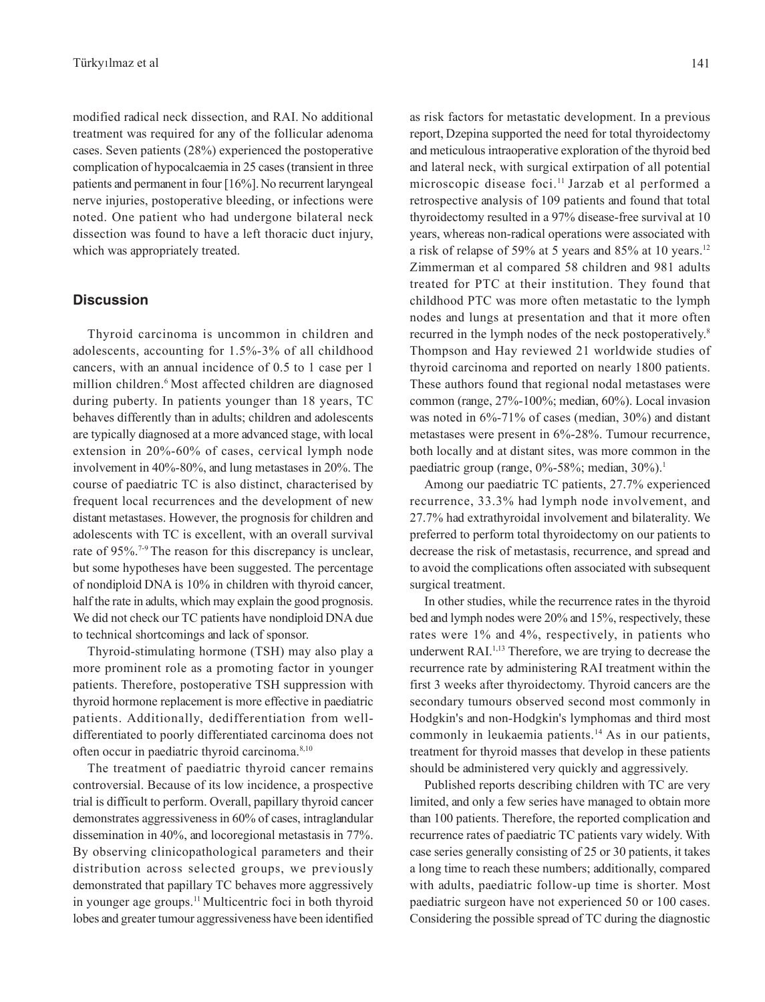modified radical neck dissection, and RAI. No additional treatment was required for any of the follicular adenoma cases. Seven patients (28%) experienced the postoperative complication of hypocalcaemia in 25 cases (transient in three patients and permanent in four [16%]. No recurrent laryngeal nerve injuries, postoperative bleeding, or infections were noted. One patient who had undergone bilateral neck dissection was found to have a left thoracic duct injury, which was appropriately treated.

#### **Discussion**

Thyroid carcinoma is uncommon in children and adolescents, accounting for 1.5%-3% of all childhood cancers, with an annual incidence of 0.5 to 1 case per 1 million children.<sup>6</sup> Most affected children are diagnosed during puberty. In patients younger than 18 years, TC behaves differently than in adults; children and adolescents are typically diagnosed at a more advanced stage, with local extension in 20%-60% of cases, cervical lymph node involvement in 40%-80%, and lung metastases in 20%. The course of paediatric TC is also distinct, characterised by frequent local recurrences and the development of new distant metastases. However, the prognosis for children and adolescents with TC is excellent, with an overall survival rate of 95%.<sup>7-9</sup> The reason for this discrepancy is unclear, but some hypotheses have been suggested. The percentage of nondiploid DNA is 10% in children with thyroid cancer, half the rate in adults, which may explain the good prognosis. We did not check our TC patients have nondiploid DNA due to technical shortcomings and lack of sponsor.

Thyroid-stimulating hormone (TSH) may also play a more prominent role as a promoting factor in younger patients. Therefore, postoperative TSH suppression with thyroid hormone replacement is more effective in paediatric patients. Additionally, dedifferentiation from welldifferentiated to poorly differentiated carcinoma does not often occur in paediatric thyroid carcinoma.8,10

The treatment of paediatric thyroid cancer remains controversial. Because of its low incidence, a prospective trial is difficult to perform. Overall, papillary thyroid cancer demonstrates aggressiveness in 60% of cases, intraglandular dissemination in 40%, and locoregional metastasis in 77%. By observing clinicopathological parameters and their distribution across selected groups, we previously demonstrated that papillary TC behaves more aggressively in younger age groups.11 Multicentric foci in both thyroid lobes and greater tumour aggressiveness have been identified as risk factors for metastatic development. In a previous report, Dzepina supported the need for total thyroidectomy and meticulous intraoperative exploration of the thyroid bed and lateral neck, with surgical extirpation of all potential microscopic disease foci.<sup>11</sup> Jarzab et al performed a retrospective analysis of 109 patients and found that total thyroidectomy resulted in a 97% disease-free survival at 10 years, whereas non-radical operations were associated with a risk of relapse of 59% at 5 years and 85% at 10 years.12 Zimmerman et al compared 58 children and 981 adults treated for PTC at their institution. They found that childhood PTC was more often metastatic to the lymph nodes and lungs at presentation and that it more often recurred in the lymph nodes of the neck postoperatively.8 Thompson and Hay reviewed 21 worldwide studies of thyroid carcinoma and reported on nearly 1800 patients. These authors found that regional nodal metastases were common (range, 27%-100%; median, 60%). Local invasion was noted in 6%-71% of cases (median, 30%) and distant metastases were present in 6%-28%. Tumour recurrence, both locally and at distant sites, was more common in the paediatric group (range, 0%-58%; median, 30%).<sup>1</sup>

Among our paediatric TC patients, 27.7% experienced recurrence, 33.3% had lymph node involvement, and 27.7% had extrathyroidal involvement and bilaterality. We preferred to perform total thyroidectomy on our patients to decrease the risk of metastasis, recurrence, and spread and to avoid the complications often associated with subsequent surgical treatment.

In other studies, while the recurrence rates in the thyroid bed and lymph nodes were 20% and 15%, respectively, these rates were 1% and 4%, respectively, in patients who underwent RAI.1,13 Therefore, we are trying to decrease the recurrence rate by administering RAI treatment within the first 3 weeks after thyroidectomy. Thyroid cancers are the secondary tumours observed second most commonly in Hodgkin's and non-Hodgkin's lymphomas and third most commonly in leukaemia patients.<sup>14</sup> As in our patients, treatment for thyroid masses that develop in these patients should be administered very quickly and aggressively.

Published reports describing children with TC are very limited, and only a few series have managed to obtain more than 100 patients. Therefore, the reported complication and recurrence rates of paediatric TC patients vary widely. With case series generally consisting of 25 or 30 patients, it takes a long time to reach these numbers; additionally, compared with adults, paediatric follow-up time is shorter. Most paediatric surgeon have not experienced 50 or 100 cases. Considering the possible spread of TC during the diagnostic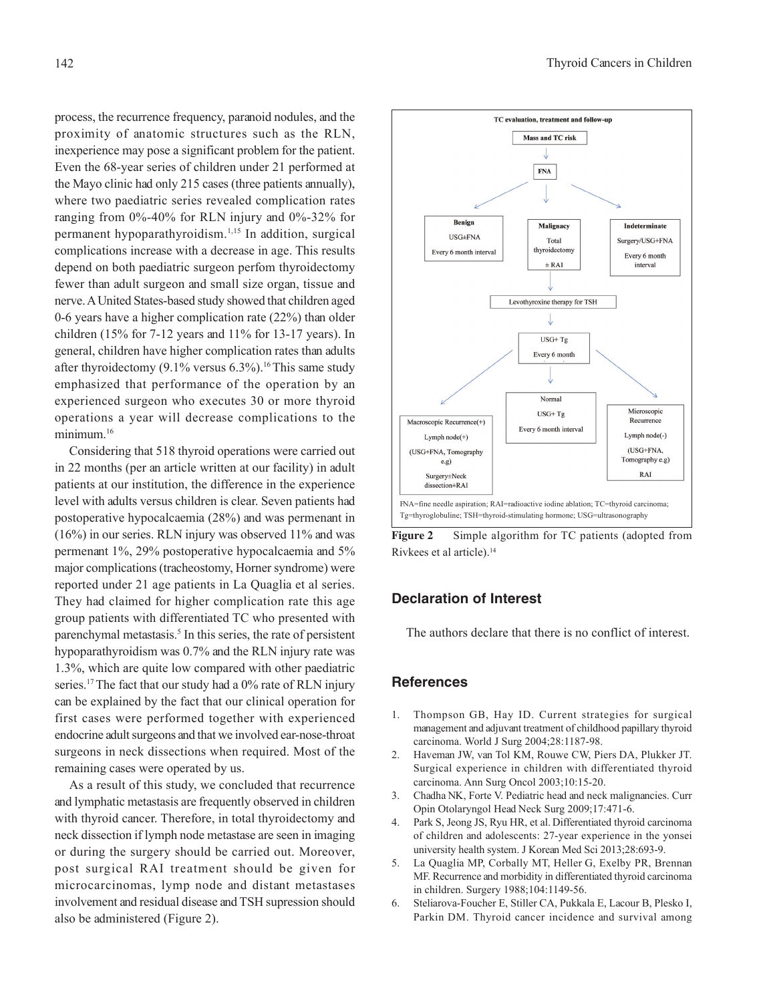process, the recurrence frequency, paranoid nodules, and the proximity of anatomic structures such as the RLN, inexperience may pose a significant problem for the patient. Even the 68-year series of children under 21 performed at the Mayo clinic had only 215 cases (three patients annually), where two paediatric series revealed complication rates ranging from 0%-40% for RLN injury and 0%-32% for permanent hypoparathyroidism.1,15 In addition, surgical complications increase with a decrease in age. This results depend on both paediatric surgeon perfom thyroidectomy fewer than adult surgeon and small size organ, tissue and nerve. A United States-based study showed that children aged 0-6 years have a higher complication rate (22%) than older children (15% for 7-12 years and 11% for 13-17 years). In general, children have higher complication rates than adults after thyroidectomy  $(9.1\%$  versus 6.3%).<sup>16</sup> This same study emphasized that performance of the operation by an experienced surgeon who executes 30 or more thyroid operations a year will decrease complications to the minimum.<sup>16</sup>

Considering that 518 thyroid operations were carried out in 22 months (per an article written at our facility) in adult patients at our institution, the difference in the experience level with adults versus children is clear. Seven patients had postoperative hypocalcaemia (28%) and was permenant in (16%) in our series. RLN injury was observed 11% and was permenant 1%, 29% postoperative hypocalcaemia and 5% major complications (tracheostomy, Horner syndrome) were reported under 21 age patients in La Quaglia et al series. They had claimed for higher complication rate this age group patients with differentiated TC who presented with parenchymal metastasis.<sup>5</sup> In this series, the rate of persistent hypoparathyroidism was 0.7% and the RLN injury rate was 1.3%, which are quite low compared with other paediatric series.<sup>17</sup> The fact that our study had a 0% rate of RLN injury can be explained by the fact that our clinical operation for first cases were performed together with experienced endocrine adult surgeons and that we involved ear-nose-throat surgeons in neck dissections when required. Most of the remaining cases were operated by us.

As a result of this study, we concluded that recurrence and lymphatic metastasis are frequently observed in children with thyroid cancer. Therefore, in total thyroidectomy and neck dissection if lymph node metastase are seen in imaging or during the surgery should be carried out. Moreover, post surgical RAI treatment should be given for microcarcinomas, lymp node and distant metastases involvement and residual disease and TSH supression should also be administered (Figure 2).



**Figure 2** Simple algorithm for TC patients (adopted from Rivkees et al article).14

#### **Declaration of Interest**

The authors declare that there is no conflict of interest.

#### **References**

- 1. Thompson GB, Hay ID. Current strategies for surgical management and adjuvant treatment of childhood papillary thyroid carcinoma. World J Surg 2004;28:1187-98.
- 2. Haveman JW, van Tol KM, Rouwe CW, Piers DA, Plukker JT. Surgical experience in children with differentiated thyroid carcinoma. Ann Surg Oncol 2003;10:15-20.
- 3. Chadha NK, Forte V. Pediatric head and neck malignancies. Curr Opin Otolaryngol Head Neck Surg 2009;17:471-6.
- 4. Park S, Jeong JS, Ryu HR, et al. Differentiated thyroid carcinoma of children and adolescents: 27-year experience in the yonsei university health system. J Korean Med Sci 2013;28:693-9.
- 5. La Quaglia MP, Corbally MT, Heller G, Exelby PR, Brennan MF. Recurrence and morbidity in differentiated thyroid carcinoma in children. Surgery 1988;104:1149-56.
- 6. Steliarova-Foucher E, Stiller CA, Pukkala E, Lacour B, Plesko I, Parkin DM. Thyroid cancer incidence and survival among